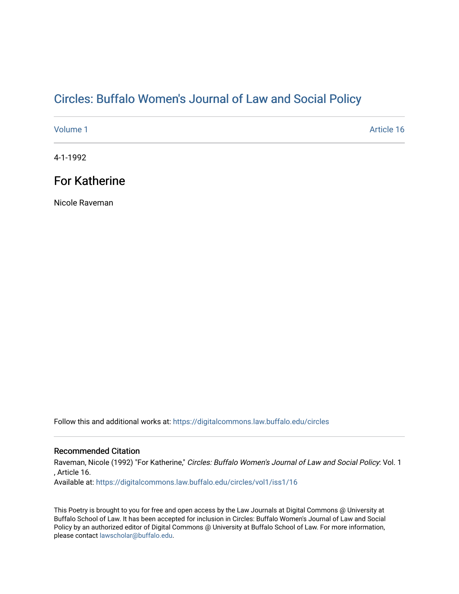## Cir[cles: Buffalo Women's Journal of Law and Social P](https://digitalcommons.law.buffalo.edu/circles)olicy

[Volume 1](https://digitalcommons.law.buffalo.edu/circles/vol1) Article 16

4-1-1992

## For Katherine

Nicole Raveman

Follow this and additional works at: [https://digitalcommons.law.buffalo.edu/circles](https://digitalcommons.law.buffalo.edu/circles?utm_source=digitalcommons.law.buffalo.edu%2Fcircles%2Fvol1%2Fiss1%2F16&utm_medium=PDF&utm_campaign=PDFCoverPages)

## Recommended Citation

Raveman, Nicole (1992) "For Katherine," Circles: Buffalo Women's Journal of Law and Social Policy: Vol. 1 , Article 16. Available at: [https://digitalcommons.law.buffalo.edu/circles/vol1/iss1/16](https://digitalcommons.law.buffalo.edu/circles/vol1/iss1/16?utm_source=digitalcommons.law.buffalo.edu%2Fcircles%2Fvol1%2Fiss1%2F16&utm_medium=PDF&utm_campaign=PDFCoverPages)

This Poetry is brought to you for free and open access by the Law Journals at Digital Commons @ University at Buffalo School of Law. It has been accepted for inclusion in Circles: Buffalo Women's Journal of Law and Social Policy by an authorized editor of Digital Commons @ University at Buffalo School of Law. For more information, please contact [lawscholar@buffalo.edu](mailto:lawscholar@buffalo.edu).